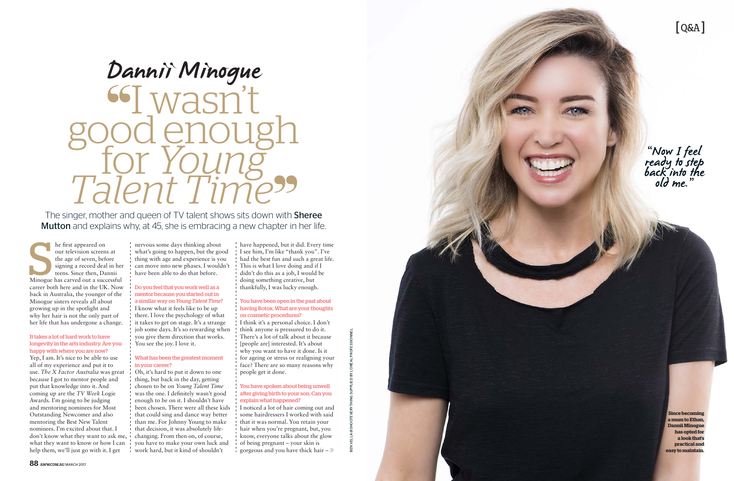## [ Q&A ]

"Now I feel ready to step back into the<br>old me."

BEN VELLA @SHOOTEVERYTHING SUPPLIED BY L'ORÉAL PROFESSIONNEL.

**Since becoming a mum to Ethan, Dannii Minogue has opted for a look that's practical and easy to maintain.**

The first appeared on<br>
our television screens at<br>
the age of seven, before<br>
signing a record deal in her<br>
teens. Since then, Dannii<br>
Minogue has carved out a successful he first appeared on our television screens at the age of seven, before signing a record deal in her teens. Since then, Dannii career both here and in the UK. Now back in Australia, the younger of the Minogue sisters reveals all about growing up in the spotlight and why her hair is not the only part of her life that has undergone a change.

#### It takes a lot of hard work to have longevity in the arts industry. Are you happy with where you are now?

Yep, I am. It's nice to be able to use all of my experience and put it to use. *The X Factor Australia* was great because I got to mentor people and put that knowledge into it. And coming up are the *TV Week* Logie Awards. I'm going to be judging and mentoring nominees for Most Outstanding Newcomer and also mentoring the Best New Talent nominees. I'm excited about that. I don't know what they want to ask me, what they want to know or how I can help them, we'll just go with it. I get

nervous some days thinking about what's going to happen, but the good thing with age and experience is you can move into new phases. I wouldn't have been able to do that before.

> I noticed a lot of hair coming out and some hairdressers I worked with said that it was normal. You retain your hair when you're pregnant, but, you know, everyone talks about the glow of being pregnant – your skin is gorgeous and you have thick hair  $-\gg$



## Do you feel that you work well as a mentor because you started out in a similar way on *Young Talent Time* ?

I know what it feels like to be up there. I love the psychology of what it takes to get on stage. It's a strange job some days. It's so rewarding when you give them direction that works. You see the joy. I love it.

# "I wasn't Talent Time" Dannii Minogue

The singer, mother and queen of TV talent shows sits down with **Sheree** Mutton and explains why, at 45, she is embracing a new chapter in her life.

## What has been the greatest moment in your career?

Oh, it's hard to put it down to one thing, but back in the day, getting chosen to be on *Young Talent Time* was the one. I definitely wasn't good enough to be on it. I shouldn't have been chosen. There were all these kids that could sing and dance way better than me. For Johnny Young to make that decision, it was absolutely lifechanging. From then on, of course, you have to make your own luck and work hard, but it kind of shouldn't

have happened, but it did. Every time I see him, I'm like "thank you". I've had the best fun and such a great life. This is what I love doing and if I didn't do this as a job, I would be doing something creative, but thankfully, I was lucky enough.

#### You have been open in the past about having Botox. What are your thoughts on cosmetic procedures?

I think it's a personal choice. I don't think anyone is pressured to do it. There's a lot of talk about it because [people are] interested. It's about why you want to have it done. Is it for ageing or stress or realigning your face? There are so many reasons why people get it done.

#### You have spoken about being unwell after giving birth to your son. Can you explain what happened?